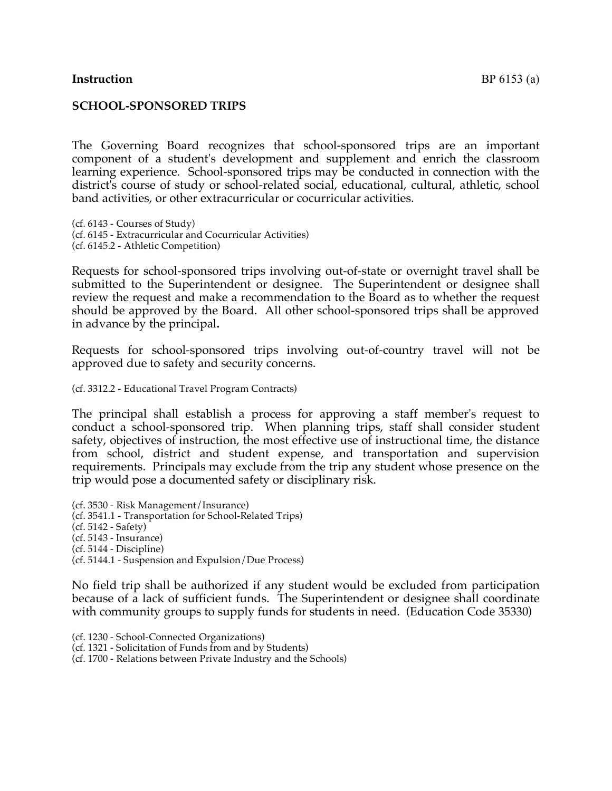#### **SCHOOL-SPONSORED TRIPS**

The Governing Board recognizes that school-sponsored trips are an important component of a student's development and supplement and enrich the classroom learning experience. School-sponsored trips may be conducted in connection with the district's course of study or school-related social, educational, cultural, athletic, school band activities, or other extracurricular or cocurricular activities.

(cf. 6143 - Courses of Study) (cf. 6145 - Extracurricular and Cocurricular Activities) (cf. 6145.2 - Athletic Competition)

Requests for school-sponsored trips involving out-of-state or overnight travel shall be submitted to the Superintendent or designee. The Superintendent or designee shall review the request and make a recommendation to the Board as to whether the request should be approved by the Board. All other school-sponsored trips shall be approved in advance by the principal**.**

Requests for school-sponsored trips involving out-of-country travel will not be approved due to safety and security concerns.

(cf. 3312.2 - Educational Travel Program Contracts)

The principal shall establish a process for approving a staff member's request to conduct a school-sponsored trip. When planning trips, staff shall consider student safety, objectives of instruction, the most effective use of instructional time, the distance from school, district and student expense, and transportation and supervision requirements. Principals may exclude from the trip any student whose presence on the trip would pose a documented safety or disciplinary risk.

(cf. 3530 - Risk Management/Insurance) (cf. 3541.1 - Transportation for School-Related Trips) (cf. 5142 - Safety) (cf. 5143 - Insurance) (cf. 5144 - Discipline) (cf. 5144.1 - Suspension and Expulsion/Due Process)

No field trip shall be authorized if any student would be excluded from participation because of a lack of sufficient funds. The Superintendent or designee shall coordinate with community groups to supply funds for students in need. (Education Code 35330)

(cf. 1230 - School-Connected Organizations)

(cf. 1321 - Solicitation of Funds from and by Students)

(cf. 1700 - Relations between Private Industry and the Schools)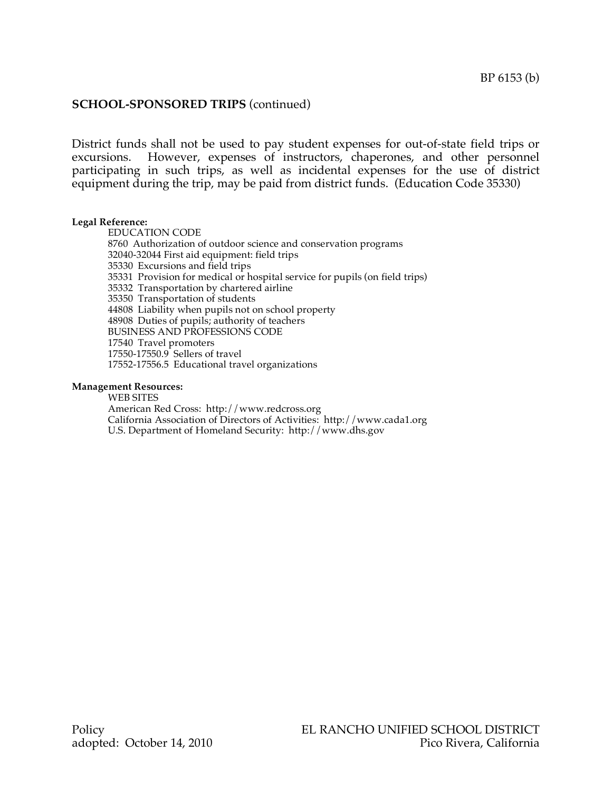## **SCHOOL-SPONSORED TRIPS** (continued)

District funds shall not be used to pay student expenses for out-of-state field trips or excursions. However, expenses of instructors, chaperones, and other personnel participating in such trips, as well as incidental expenses for the use of district equipment during the trip, may be paid from district funds. (Education Code 35330)

#### **Legal Reference:**

EDUCATION CODE Authorization of outdoor science and conservation programs 32040-32044 First aid equipment: field trips Excursions and field trips Provision for medical or hospital service for pupils (on field trips) Transportation by chartered airline Transportation of students Liability when pupils not on school property Duties of pupils; authority of teachers BUSINESS AND PROFESSIONS CODE Travel promoters 17550-17550.9 Sellers of travel 17552-17556.5 Educational travel organizations

#### **Management Resources:**

WEB SITES American Red Cross: http://www.redcross.org California Association of Directors of Activities: http://www.cada1.org U.S. Department of Homeland Security: http://www.dhs.gov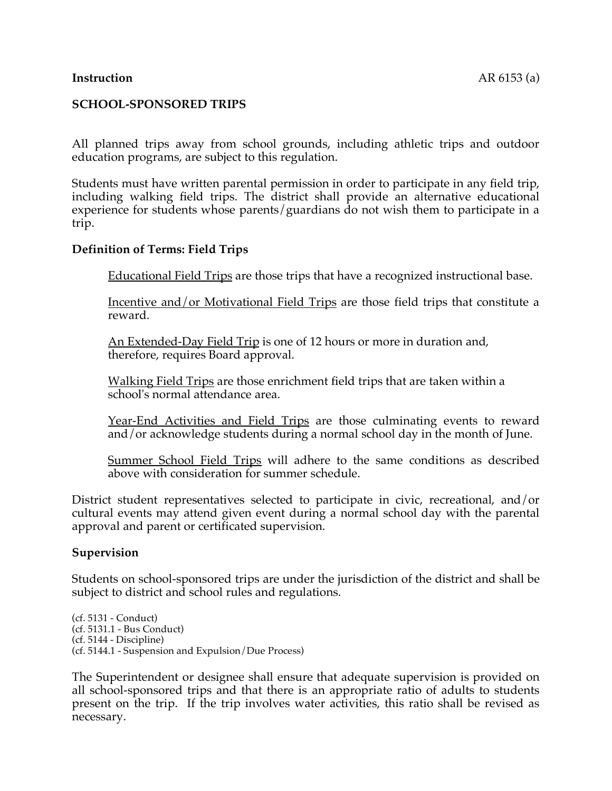## **Instruction** AR 6153 (a)

## **SCHOOL-SPONSORED TRIPS**

All planned trips away from school grounds, including athletic trips and outdoor education programs, are subject to this regulation.

Students must have written parental permission in order to participate in any field trip, including walking field trips. The district shall provide an alternative educational experience for students whose parents/guardians do not wish them to participate in a trip.

### **Definition of Terms: Field Trips**

Educational Field Trips are those trips that have a recognized instructional base.

Incentive and/or Motivational Field Trips are those field trips that constitute a reward.

An Extended-Day Field Trip is one of 12 hours or more in duration and, therefore, requires Board approval.

Walking Field Trips are those enrichment field trips that are taken within a school's normal attendance area.

Year-End Activities and Field Trips are those culminating events to reward and/or acknowledge students during a normal school day in the month of June.

Summer School Field Trips will adhere to the same conditions as described above with consideration for summer schedule.

District student representatives selected to participate in civic, recreational, and/or cultural events may attend given event during a normal school day with the parental approval and parent or certificated supervision.

### **Supervision**

Students on school-sponsored trips are under the jurisdiction of the district and shall be subject to district and school rules and regulations.

(cf. 5131 - Conduct) (cf. 5131.1 - Bus Conduct) (cf. 5144 - Discipline) (cf. 5144.1 - Suspension and Expulsion/Due Process)

The Superintendent or designee shall ensure that adequate supervision is provided on all school-sponsored trips and that there is an appropriate ratio of adults to students present on the trip. If the trip involves water activities, this ratio shall be revised as necessary.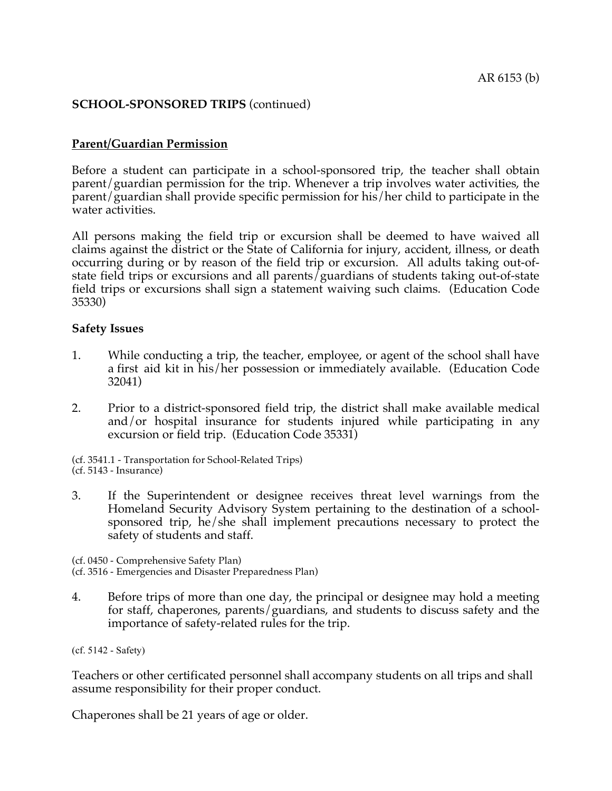## **SCHOOL-SPONSORED TRIPS** (continued)

## **Parent/Guardian Permission**

Before a student can participate in a school-sponsored trip, the teacher shall obtain parent/guardian permission for the trip. Whenever a trip involves water activities, the parent/guardian shall provide specific permission for his/her child to participate in the water activities.

All persons making the field trip or excursion shall be deemed to have waived all claims against the district or the State of California for injury, accident, illness, or death occurring during or by reason of the field trip or excursion. All adults taking out-ofstate field trips or excursions and all parents/guardians of students taking out-of-state field trips or excursions shall sign a statement waiving such claims. (Education Code 35330)

### **Safety Issues**

- 1. While conducting a trip, the teacher, employee, or agent of the school shall have a first aid kit in his/her possession or immediately available. (Education Code 32041)
- 2. Prior to a district-sponsored field trip, the district shall make available medical and/or hospital insurance for students injured while participating in any excursion or field trip. (Education Code 35331)

(cf. 3541.1 - Transportation for School-Related Trips) (cf. 5143 - Insurance)

3. If the Superintendent or designee receives threat level warnings from the Homeland Security Advisory System pertaining to the destination of a schoolsponsored trip, he/she shall implement precautions necessary to protect the safety of students and staff.

(cf. 0450 - Comprehensive Safety Plan) (cf. 3516 - Emergencies and Disaster Preparedness Plan)

4. Before trips of more than one day, the principal or designee may hold a meeting for staff, chaperones, parents/guardians, and students to discuss safety and the importance of safety-related rules for the trip.

Teachers or other certificated personnel shall accompany students on all trips and shall assume responsibility for their proper conduct.

Chaperones shall be 21 years of age or older.

<sup>(</sup>cf. 5142 - Safety)